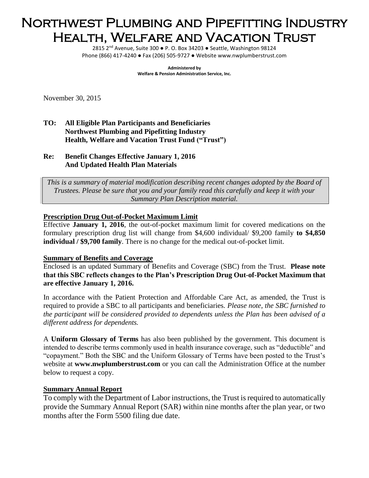# Northwest Plumbing and Pipefitting Industry Health, Welfare and Vacation Trust

2815 2<sup>nd</sup> Avenue, Suite 300 · P. O. Box 34203 · Seattle, Washington 98124 Phone (866) 417-4240 ● Fax (206) 505-9727 ● Website www.nwplumberstrust.com

> **Administered by Welfare & Pension Administration Service, Inc.**

November 30, 2015

- **TO: All Eligible Plan Participants and Beneficiaries Northwest Plumbing and Pipefitting Industry Health, Welfare and Vacation Trust Fund ("Trust")**
- **Re: Benefit Changes Effective January 1, 2016 And Updated Health Plan Materials**

*This is a summary of material modification describing recent changes adopted by the Board of Trustees. Please be sure that you and your family read this carefully and keep it with your Summary Plan Description material.*

### **Prescription Drug Out-of-Pocket Maximum Limit**

Effective **January 1, 2016**, the out-of-pocket maximum limit for covered medications on the formulary prescription drug list will change from \$4,600 individual/ \$9,200 family **to \$4,850 individual / \$9,700 family**. There is no change for the medical out-of-pocket limit.

#### **Summary of Benefits and Coverage**

Enclosed is an updated Summary of Benefits and Coverage (SBC) from the Trust. **Please note that this SBC reflects changes to the Plan's Prescription Drug Out-of-Pocket Maximum that are effective January 1, 2016.**

In accordance with the Patient Protection and Affordable Care Act, as amended, the Trust is required to provide a SBC to all participants and beneficiaries. *Please note, the SBC furnished to the participant will be considered provided to dependents unless the Plan has been advised of a different address for dependents.* 

A **Uniform Glossary of Terms** has also been published by the government. This document is intended to describe terms commonly used in health insurance coverage, such as "deductible" and "copayment." Both the SBC and the Uniform Glossary of Terms have been posted to the Trust's website at **www.nwplumberstrust.com** or you can call the Administration Office at the number below to request a copy.

## **Summary Annual Report**

To comply with the Department of Labor instructions, the Trust is required to automatically provide the Summary Annual Report (SAR) within nine months after the plan year, or two months after the Form 5500 filing due date.